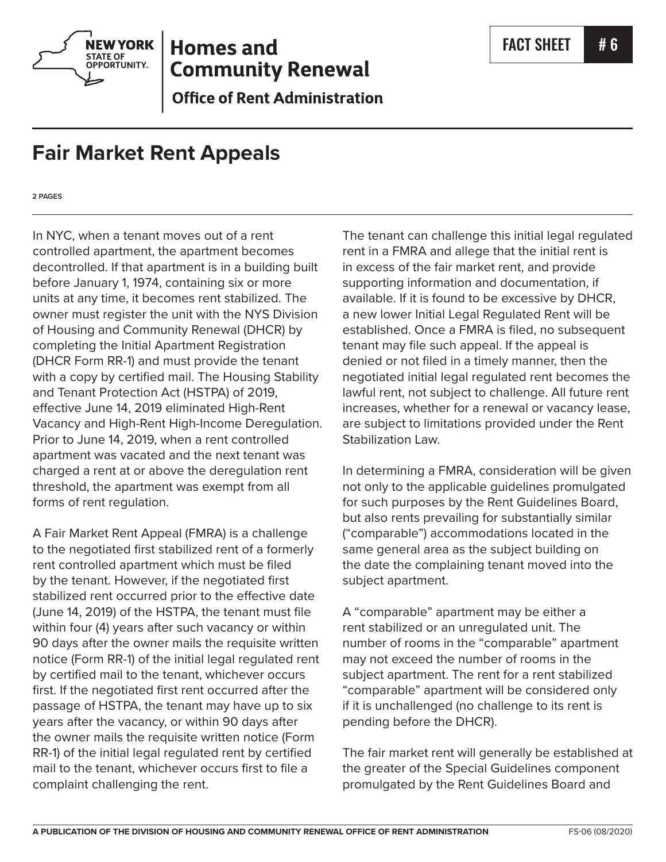

## **Homes and Community Renewal**

**Office of Rent Administration** 

## **Fair Market Rent Appeals**

**2 PAGES**

In NYC, when a tenant moves out of a rent controlled apartment, the apartment becomes decontrolled. If that apartment is in a building built before January 1, 1974, containing six or more units at any time, it becomes rent stabilized. The owner must register the unit with the NYS Division of Housing and Community Renewal (DHCR) by completing the Initial Apartment Registration (DHCR Form RR-1) and must provide the tenant with a copy by certified mail. The Housing Stability and Tenant Protection Act (HSTPA) of 2019, effective June 14, 2019 eliminated High-Rent Vacancy and High-Rent High-Income Deregulation. Prior to June 14, 2019, when a rent controlled apartment was vacated and the next tenant was charged a rent at or above the deregulation rent threshold, the apartment was exempt from all forms of rent regulation.

A Fair Market Rent Appeal (FMRA) is a challenge to the negotiated first stabilized rent of a formerly rent controlled apartment which must be filed by the tenant. However, if the negotiated first stabilized rent occurred prior to the effective date (June 14, 2019) of the HSTPA, the tenant must file within four (4) years after such vacancy or within 90 days after the owner mails the requisite written notice (Form RR-1) of the initial legal regulated rent by certified mail to the tenant, whichever occurs first. If the negotiated first rent occurred after the passage of HSTPA, the tenant may have up to six years after the vacancy, or within 90 days after the owner mails the requisite written notice (Form RR-1) of the initial legal regulated rent by certified mail to the tenant, whichever occurs first to file a complaint challenging the rent.

The tenant can challenge this initial legal regulated rent in a FMRA and allege that the initial rent is in excess of the fair market rent, and provide supporting information and documentation, if available. If it is found to be excessive by DHCR, a new lower Initial Legal Regulated Rent will be established. Once a FMRA is filed, no subsequent tenant may file such appeal. If the appeal is denied or not filed in a timely manner, then the negotiated initial legal regulated rent becomes the lawful rent, not subject to challenge. All future rent increases, whether for a renewal or vacancy lease, are subject to limitations provided under the Rent Stabilization Law.

In determining a FMRA, consideration will be given not only to the applicable guidelines promulgated for such purposes by the Rent Guidelines Board, but also rents prevailing for substantially similar ("comparable") accommodations located in the same general area as the subject building on the date the complaining tenant moved into the subject apartment.

A "comparable" apartment may be either a rent stabilized or an unregulated unit. The number of rooms in the "comparable" apartment may not exceed the number of rooms in the subject apartment. The rent for a rent stabilized "comparable" apartment will be considered only if it is unchallenged (no challenge to its rent is pending before the DHCR).

The fair market rent will generally be established at the greater of the Special Guidelines component promulgated by the Rent Guidelines Board and